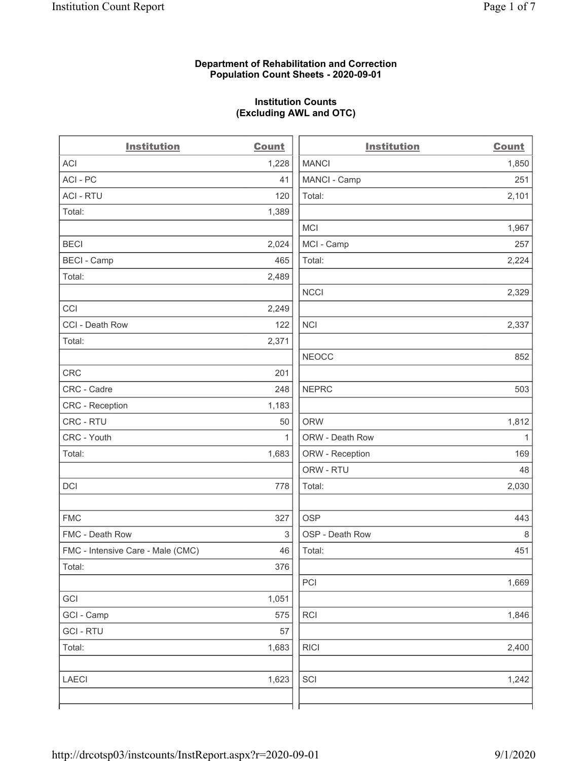## Department of Rehabilitation and Correction Population Count Sheets - 2020-09-01

## Institution Counts (Excluding AWL and OTC)

 $\overline{a}$ 

| <b>Institution</b>                | <b>Count</b> | <b>Institution</b> | <b>Count</b> |
|-----------------------------------|--------------|--------------------|--------------|
| ACI                               | 1,228        | <b>MANCI</b>       | 1,850        |
| ACI - PC                          | 41           | MANCI - Camp       | 251          |
| <b>ACI - RTU</b>                  | 120          | Total:             | 2,101        |
| Total:                            | 1,389        |                    |              |
|                                   |              | MCI                | 1,967        |
| <b>BECI</b>                       | 2,024        | MCI - Camp         | 257          |
| <b>BECI - Camp</b>                | 465          | Total:             | 2,224        |
| Total:                            | 2,489        |                    |              |
|                                   |              | <b>NCCI</b>        | 2,329        |
| CCI                               | 2,249        |                    |              |
| CCI - Death Row                   | 122          | <b>NCI</b>         | 2,337        |
| Total:                            | 2,371        |                    |              |
|                                   |              | <b>NEOCC</b>       | 852          |
| <b>CRC</b>                        | 201          |                    |              |
| CRC - Cadre                       | 248          | <b>NEPRC</b>       | 503          |
| CRC - Reception                   | 1,183        |                    |              |
| CRC - RTU                         | 50           | <b>ORW</b>         | 1,812        |
| CRC - Youth                       | $\mathbf{1}$ | ORW - Death Row    | $\mathbf{1}$ |
| Total:                            | 1,683        | ORW - Reception    | 169          |
|                                   |              | ORW - RTU          | 48           |
| DCI                               | 778          | Total:             | 2,030        |
| <b>FMC</b>                        | 327          | <b>OSP</b>         | 443          |
| FMC - Death Row                   | 3            | OSP - Death Row    | 8            |
| FMC - Intensive Care - Male (CMC) | 46           | Total:             | 451          |
| Total:                            | 376          |                    |              |
|                                   |              | PCI                | 1,669        |
| GCI                               | 1,051        |                    |              |
| GCI - Camp                        | 575          | RCI                | 1,846        |
| <b>GCI - RTU</b>                  | 57           |                    |              |
| Total:                            | 1,683        | <b>RICI</b>        | 2,400        |
| <b>LAECI</b>                      | 1,623        | SCI                | 1,242        |
|                                   |              |                    |              |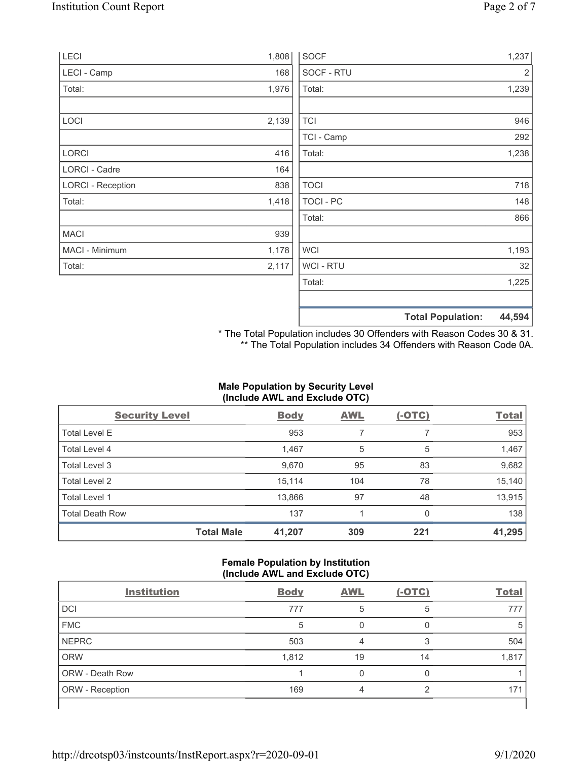| LECI                     | 1,808 | <b>SOCF</b>      | 1,237                              |
|--------------------------|-------|------------------|------------------------------------|
| LECI - Camp              | 168   | SOCF - RTU       | 2                                  |
| Total:                   | 1,976 | Total:           | 1,239                              |
|                          |       |                  |                                    |
| LOCI                     | 2,139 | <b>TCI</b>       | 946                                |
|                          |       | TCI - Camp       | 292                                |
| LORCI                    | 416   | Total:           | 1,238                              |
| <b>LORCI - Cadre</b>     | 164   |                  |                                    |
| <b>LORCI - Reception</b> | 838   | <b>TOCI</b>      | 718                                |
| Total:                   | 1,418 | <b>TOCI - PC</b> | 148                                |
|                          |       | Total:           | 866                                |
| <b>MACI</b>              | 939   |                  |                                    |
| MACI - Minimum           | 1,178 | <b>WCI</b>       | 1,193                              |
| Total:                   | 2,117 | <b>WCI-RTU</b>   | 32                                 |
|                          |       | Total:           | 1,225                              |
|                          |       |                  | <b>Total Population:</b><br>44,594 |

\* The Total Population includes 30 Offenders with Reason Codes 30 & 31. \*\* The Total Population includes 34 Offenders with Reason Code 0A.

# Male Population by Security Level (Include AWL and Exclude OTC)

| <b>Security Level</b>  |                   | <b>Body</b> | <b>AWL</b> | $(-OTC)$ | <b>Total</b> |
|------------------------|-------------------|-------------|------------|----------|--------------|
| <b>Total Level E</b>   |                   | 953         | 7          |          | 953          |
| Total Level 4          |                   | 1,467       | 5          | 5        | 1,467        |
| Total Level 3          |                   | 9,670       | 95         | 83       | 9,682        |
| Total Level 2          |                   | 15,114      | 104        | 78       | 15,140       |
| Total Level 1          |                   | 13,866      | 97         | 48       | 13,915       |
| <b>Total Death Row</b> |                   | 137         |            | 0        | 138          |
|                        | <b>Total Male</b> | 41,207      | 309        | 221      | 41,295       |

## Female Population by Institution (Include AWL and Exclude OTC)

| <b>Institution</b>     | <b>Body</b> | <b>AWL</b> | $(-OTC)$ | <b>Total</b> |
|------------------------|-------------|------------|----------|--------------|
| <b>DCI</b>             | 777         | 5          | 5        | 777          |
| <b>FMC</b>             | 5           |            |          | 5            |
| <b>NEPRC</b>           | 503         |            | 3        | 504          |
| <b>ORW</b>             | 1,812       | 19         | 14       | 1,817        |
| <b>ORW - Death Row</b> |             |            |          |              |
| ORW - Reception        | 169         | Δ          | ◠        | 171          |
|                        |             |            |          |              |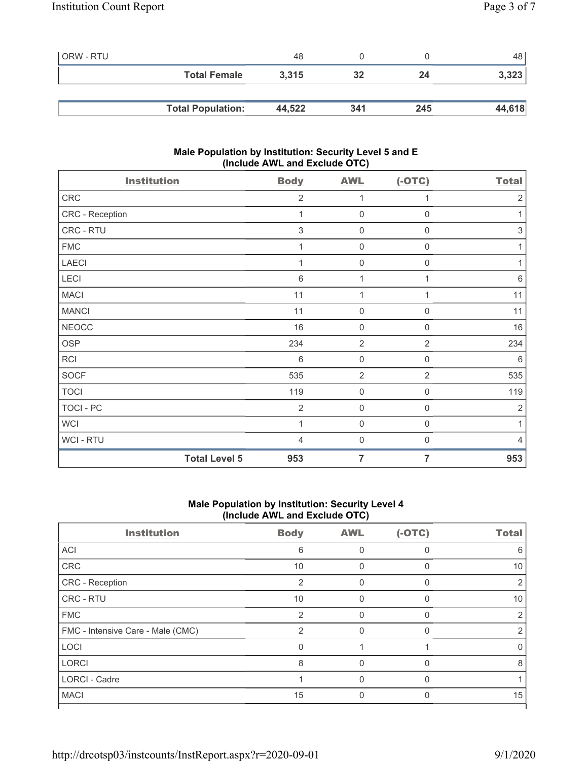| ORW - RTU |                          | 48     |     |     | 48 I   |
|-----------|--------------------------|--------|-----|-----|--------|
|           | <b>Total Female</b>      | 3,315  | 32  | 24  | 3,323  |
|           |                          |        |     |     |        |
|           | <b>Total Population:</b> | 44,522 | 341 | 245 | 44,618 |

## Male Population by Institution: Security Level 5 and E (Include AWL and Exclude OTC)

| <b>Institution</b>   | <b>Body</b>     | <b>AWL</b>          | $(-OTC)$            | <b>Total</b>   |
|----------------------|-----------------|---------------------|---------------------|----------------|
| ${\sf CRC}$          | $\overline{2}$  | 1                   | 1                   | $\overline{2}$ |
| CRC - Reception      | 1               | $\mathsf{O}\xspace$ | $\boldsymbol{0}$    | 1              |
| CRC - RTU            | 3               | $\mathbf 0$         | $\mathbf 0$         | $\sqrt{3}$     |
| <b>FMC</b>           | 1               | $\mathsf{O}\xspace$ | $\mathsf{O}\xspace$ | 1              |
| <b>LAECI</b>         |                 | $\mathbf 0$         | $\boldsymbol{0}$    | 1              |
| LECI                 | $\,6$           | 1                   | 1                   | $\,6\,$        |
| <b>MACI</b>          | 11              | 1                   | 1                   | 11             |
| <b>MANCI</b>         | 11              | $\boldsymbol{0}$    | 0                   | 11             |
| <b>NEOCC</b>         | 16              | $\mathsf{O}\xspace$ | $\boldsymbol{0}$    | 16             |
| OSP                  | 234             | $\overline{2}$      | $\overline{2}$      | 234            |
| RCI                  | $6\phantom{1}6$ | $\mathbf 0$         | $\boldsymbol{0}$    | 6              |
| <b>SOCF</b>          | 535             | $\overline{2}$      | $\overline{2}$      | 535            |
| <b>TOCI</b>          | 119             | $\mathbf 0$         | $\mathsf{O}\xspace$ | 119            |
| TOCI - PC            | $\overline{2}$  | $\mathsf{O}\xspace$ | $\boldsymbol{0}$    | $\overline{2}$ |
| <b>WCI</b>           | 1               | $\mathbf 0$         | $\mathbf 0$         | 1              |
| WCI - RTU            | $\overline{4}$  | $\mathsf{O}\xspace$ | $\mathbf 0$         | $\overline{4}$ |
| <b>Total Level 5</b> | 953             | $\overline{7}$      | 7                   | 953            |

## Male Population by Institution: Security Level 4 (Include AWL and Exclude OTC)

| <b>Institution</b>                | <b>Body</b>    | <b>AWL</b> | $(-OTC)$ | <b>Total</b> |
|-----------------------------------|----------------|------------|----------|--------------|
| ACI                               | 6              |            |          | 6            |
| CRC                               | 10             |            |          | 10           |
| CRC - Reception                   | $\overline{2}$ | 0          | $\Omega$ | 2            |
| CRC - RTU                         | 10             | U          | O        | 10           |
| <b>FMC</b>                        | $\mathcal{P}$  | O          | ∩        |              |
| FMC - Intensive Care - Male (CMC) | $\mathcal{P}$  |            |          | 2            |
| LOCI                              | 0              |            |          |              |
| <b>LORCI</b>                      | 8              | O          | $\Omega$ | 8            |
| <b>LORCI - Cadre</b>              |                | O          | ∩        |              |
| <b>MACI</b>                       | 15             | 0          |          | 15           |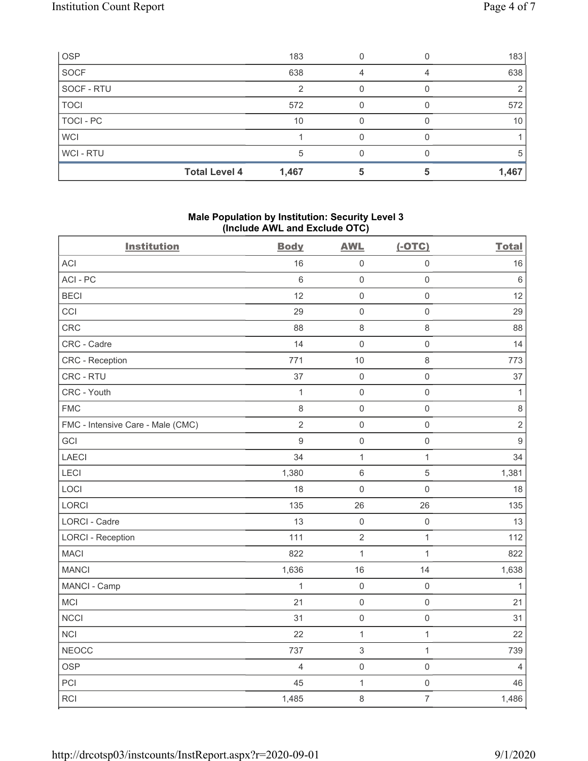| <b>OSP</b>  |                      | 183   |  | 183   |
|-------------|----------------------|-------|--|-------|
| <b>SOCF</b> |                      | 638   |  | 638   |
| SOCF - RTU  |                      |       |  |       |
| <b>TOCI</b> |                      | 572   |  | 572   |
| TOCI - PC   |                      | 10    |  | 10    |
| <b>WCI</b>  |                      |       |  |       |
| WCI - RTU   |                      |       |  | 5     |
|             | <b>Total Level 4</b> | 1,467 |  | 1,467 |

## Male Population by Institution: Security Level 3 (Include AWL and Exclude OTC)

| ,<br><b>Institution</b>           | <b>Body</b>    | ,<br><b>AWL</b>           | $(-OTC)$            | <b>Total</b>     |
|-----------------------------------|----------------|---------------------------|---------------------|------------------|
| <b>ACI</b>                        | 16             | $\mathbf 0$               | $\mathsf 0$         | 16               |
| ACI-PC                            | $\,6\,$        | $\mathbf 0$               | $\mathsf{O}\xspace$ | $\,6\,$          |
| <b>BECI</b>                       | 12             | $\mathbf 0$               | $\mathsf 0$         | 12               |
| CCI                               | 29             | $\mathbf 0$               | $\mathsf{O}\xspace$ | 29               |
| CRC                               | 88             | $\,8\,$                   | $\,8\,$             | 88               |
| CRC - Cadre                       | 14             | $\mathbf 0$               | $\mathsf 0$         | 14               |
| CRC - Reception                   | 771            | 10                        | $\,8\,$             | 773              |
| CRC - RTU                         | 37             | $\mathbf 0$               | $\mathsf 0$         | 37               |
| CRC - Youth                       | $\mathbf 1$    | $\mathbf 0$               | $\mathsf 0$         | $\mathbf{1}$     |
| <b>FMC</b>                        | 8              | $\mathbf 0$               | $\mathsf{O}\xspace$ | $\,8\,$          |
| FMC - Intensive Care - Male (CMC) | $\overline{2}$ | $\mathbf 0$               | $\mathsf{O}\xspace$ | $\sqrt{2}$       |
| GCI                               | $\mathsf g$    | $\mathbf 0$               | $\mathsf{O}\xspace$ | $\boldsymbol{9}$ |
| LAECI                             | 34             | 1                         | $\mathbf{1}$        | 34               |
| LECI                              | 1,380          | $\,6\,$                   | $\sqrt{5}$          | 1,381            |
| LOCI                              | 18             | $\mathbf 0$               | $\mathsf 0$         | $18$             |
| LORCI                             | 135            | 26                        | 26                  | 135              |
| LORCI - Cadre                     | 13             | $\mathbf 0$               | $\mathsf 0$         | 13               |
| <b>LORCI - Reception</b>          | 111            | $\sqrt{2}$                | $\mathbf{1}$        | 112              |
| <b>MACI</b>                       | 822            | $\mathbf{1}$              | $\mathbf 1$         | 822              |
| <b>MANCI</b>                      | 1,636          | 16                        | 14                  | 1,638            |
| MANCI - Camp                      | 1              | $\mathbf 0$               | $\mathsf{O}\xspace$ | 1                |
| MCI                               | 21             | $\mathbf 0$               | $\mathsf 0$         | 21               |
| <b>NCCI</b>                       | 31             | $\mathbf 0$               | $\mathsf 0$         | 31               |
| <b>NCI</b>                        | 22             | 1                         | $\mathbf{1}$        | 22               |
| <b>NEOCC</b>                      | 737            | $\ensuremath{\mathsf{3}}$ | $\mathbf{1}$        | 739              |
| <b>OSP</b>                        | $\overline{4}$ | $\mathsf{O}\xspace$       | $\mathsf{O}\xspace$ | $\overline{4}$   |
| PCI                               | 45             | 1                         | $\mathsf{O}\xspace$ | 46               |
| <b>RCI</b>                        | 1,485          | 8                         | $\overline{7}$      | 1,486            |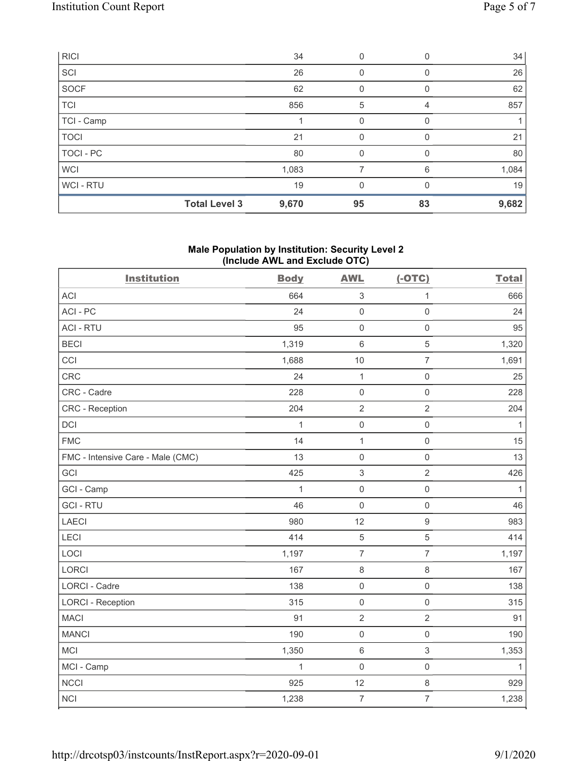| RICI        |                      | 34    | 0        | 0  | 34    |
|-------------|----------------------|-------|----------|----|-------|
| SCI         |                      | 26    | 0        | 0  | 26    |
| SOCF        |                      | 62    | 0        | 0  | 62    |
| <b>TCI</b>  |                      | 856   | 5        |    | 857   |
| TCI - Camp  |                      |       | 0        |    |       |
| <b>TOCI</b> |                      | 21    | $\Omega$ | 0  | 21    |
| TOCI - PC   |                      | 80    | 0        | 0  | 80    |
| <b>WCI</b>  |                      | 1,083 |          | 6  | 1,084 |
| WCI-RTU     |                      | 19    | 0        | 0  | 19    |
|             | <b>Total Level 3</b> | 9,670 | 95       | 83 | 9,682 |

## Male Population by Institution: Security Level 2 (Include AWL and Exclude OTC)

| <b>Institution</b>                | <b>Body</b>  | <b>AWL</b>          | $(-OTC)$            | <b>Total</b> |
|-----------------------------------|--------------|---------------------|---------------------|--------------|
| <b>ACI</b>                        | 664          | $\sqrt{3}$          | $\mathbf 1$         | 666          |
| ACI-PC                            | 24           | $\mathbf 0$         | $\mathsf{O}\xspace$ | 24           |
| <b>ACI - RTU</b>                  | 95           | $\mathbf 0$         | $\mathsf{O}\xspace$ | 95           |
| <b>BECI</b>                       | 1,319        | $\,6\,$             | 5                   | 1,320        |
| CCI                               | 1,688        | 10                  | $\overline{7}$      | 1,691        |
| CRC                               | 24           | $\mathbf{1}$        | $\mathsf{O}\xspace$ | 25           |
| CRC - Cadre                       | 228          | $\mathbf 0$         | $\mathsf{O}\xspace$ | 228          |
| CRC - Reception                   | 204          | $\overline{2}$      | $\overline{2}$      | 204          |
| DCI                               | $\mathbf{1}$ | $\mathsf{O}\xspace$ | $\mathsf{O}\xspace$ | $\mathbf{1}$ |
| <b>FMC</b>                        | 14           | $\mathbf 1$         | $\mathsf{O}\xspace$ | 15           |
| FMC - Intensive Care - Male (CMC) | 13           | $\mathsf{O}\xspace$ | $\mathsf{O}\xspace$ | 13           |
| GCI                               | 425          | $\sqrt{3}$          | $\overline{2}$      | 426          |
| GCI - Camp                        | $\mathbf{1}$ | $\mathsf{O}\xspace$ | $\mathsf{O}\xspace$ | $\mathbf{1}$ |
| <b>GCI-RTU</b>                    | 46           | $\mathbf 0$         | $\mathsf{O}\xspace$ | 46           |
| LAECI                             | 980          | 12                  | $\boldsymbol{9}$    | 983          |
| LECI                              | 414          | 5                   | $\sqrt{5}$          | 414          |
| LOCI                              | 1,197        | $\overline{7}$      | $\overline{7}$      | 1,197        |
| <b>LORCI</b>                      | 167          | $\,8\,$             | $\,8\,$             | 167          |
| <b>LORCI - Cadre</b>              | 138          | $\mathsf{O}\xspace$ | $\mathsf{O}\xspace$ | 138          |
| <b>LORCI - Reception</b>          | 315          | $\mathsf{O}\xspace$ | $\mathsf 0$         | 315          |
| <b>MACI</b>                       | 91           | $\overline{2}$      | $\overline{2}$      | 91           |
| <b>MANCI</b>                      | 190          | $\mathbf 0$         | $\mathsf 0$         | 190          |
| MCI                               | 1,350        | $\,6\,$             | $\sqrt{3}$          | 1,353        |
| MCI - Camp                        | $\mathbf{1}$ | $\mathsf{O}\xspace$ | $\mathsf 0$         | $\mathbf{1}$ |
| <b>NCCI</b>                       | 925          | 12                  | $\,8\,$             | 929          |
| <b>NCI</b>                        | 1,238        | $\overline{7}$      | $\overline{7}$      | 1,238        |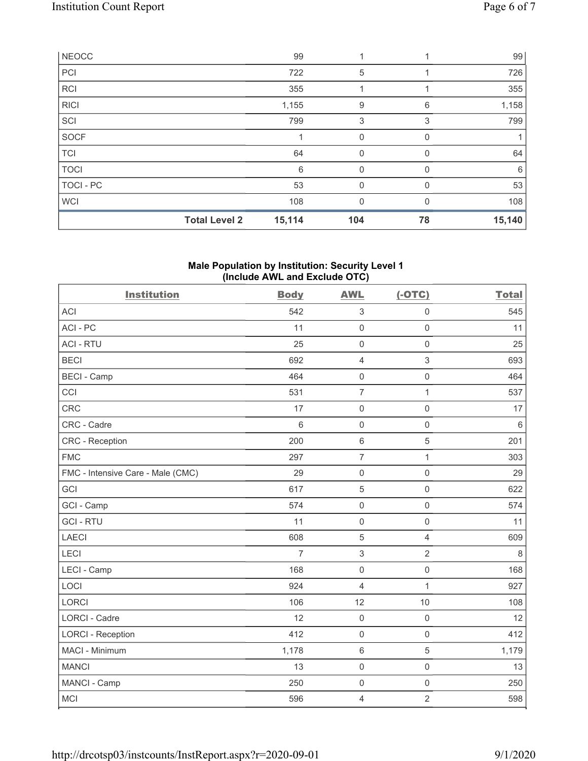|              | <b>Total Level 2</b> | 15,114 | 104      | 78           | 15,140 |
|--------------|----------------------|--------|----------|--------------|--------|
| WCI          |                      | 108    | 0        |              | 108    |
| TOCI - PC    |                      | 53     | $\Omega$ | <sup>0</sup> | 53     |
| <b>TOCI</b>  |                      | 6      | 0        | 0            | 6      |
| <b>TCI</b>   |                      | 64     | $\Omega$ | U            | 64     |
| <b>SOCF</b>  |                      |        | 0        | $\Omega$     |        |
| SCI          |                      | 799    | 3        | 3            | 799    |
| <b>RICI</b>  |                      | 1,155  | 9        | 6            | 1,158  |
| <b>RCI</b>   |                      | 355    |          |              | 355    |
| PCI          |                      | 722    | 5        |              | 726    |
| <b>NEOCC</b> |                      | 99     |          |              | 99     |

## Male Population by Institution: Security Level 1 (Include AWL and Exclude OTC)

| <b>Institution</b>                | <b>Body</b>    | <b>AWL</b>          | $(-OTC)$            | <b>Total</b> |
|-----------------------------------|----------------|---------------------|---------------------|--------------|
| <b>ACI</b>                        | 542            | 3                   | $\mathsf 0$         | 545          |
| ACI-PC                            | 11             | $\mathsf{O}\xspace$ | $\mathsf 0$         | 11           |
| <b>ACI - RTU</b>                  | 25             | $\mathbf 0$         | $\mathsf 0$         | 25           |
| <b>BECI</b>                       | 692            | $\overline{4}$      | $\,$ 3 $\,$         | 693          |
| <b>BECI - Camp</b>                | 464            | $\mathsf{O}\xspace$ | $\mathsf 0$         | 464          |
| CCI                               | 531            | $\overline{7}$      | $\mathbf{1}$        | 537          |
| CRC                               | 17             | $\mathsf{O}\xspace$ | $\mathsf{O}\xspace$ | 17           |
| CRC - Cadre                       | $6\,$          | $\mathbf 0$         | $\mathsf 0$         | $\,6\,$      |
| <b>CRC</b> - Reception            | 200            | $\,6\,$             | $\sqrt{5}$          | 201          |
| <b>FMC</b>                        | 297            | $\overline{7}$      | $\mathbf{1}$        | 303          |
| FMC - Intensive Care - Male (CMC) | 29             | $\mathsf{O}\xspace$ | $\mathsf 0$         | 29           |
| GCI                               | 617            | 5                   | $\mathsf 0$         | 622          |
| GCI - Camp                        | 574            | $\mathsf{O}\xspace$ | $\mathsf 0$         | 574          |
| <b>GCI-RTU</b>                    | 11             | $\mathbf 0$         | $\mathsf 0$         | 11           |
| <b>LAECI</b>                      | 608            | 5                   | $\overline{4}$      | 609          |
| LECI                              | $\overline{7}$ | $\,$ 3 $\,$         | $\overline{2}$      | $\,8\,$      |
| LECI - Camp                       | 168            | $\mathbf 0$         | $\mathbf 0$         | 168          |
| LOCI                              | 924            | $\overline{4}$      | $\mathbf{1}$        | 927          |
| <b>LORCI</b>                      | 106            | 12                  | 10                  | 108          |
| LORCI - Cadre                     | 12             | $\mathsf{O}\xspace$ | $\mathsf{O}\xspace$ | 12           |
| <b>LORCI - Reception</b>          | 412            | $\mathbf 0$         | $\mathsf 0$         | 412          |
| MACI - Minimum                    | 1,178          | $\,6\,$             | $\sqrt{5}$          | 1,179        |
| <b>MANCI</b>                      | 13             | $\mathbf 0$         | $\mathbf 0$         | 13           |
| MANCI - Camp                      | 250            | $\mathsf{O}\xspace$ | $\mathsf{O}\xspace$ | 250          |
| MCI                               | 596            | $\overline{4}$      | $\overline{2}$      | 598          |